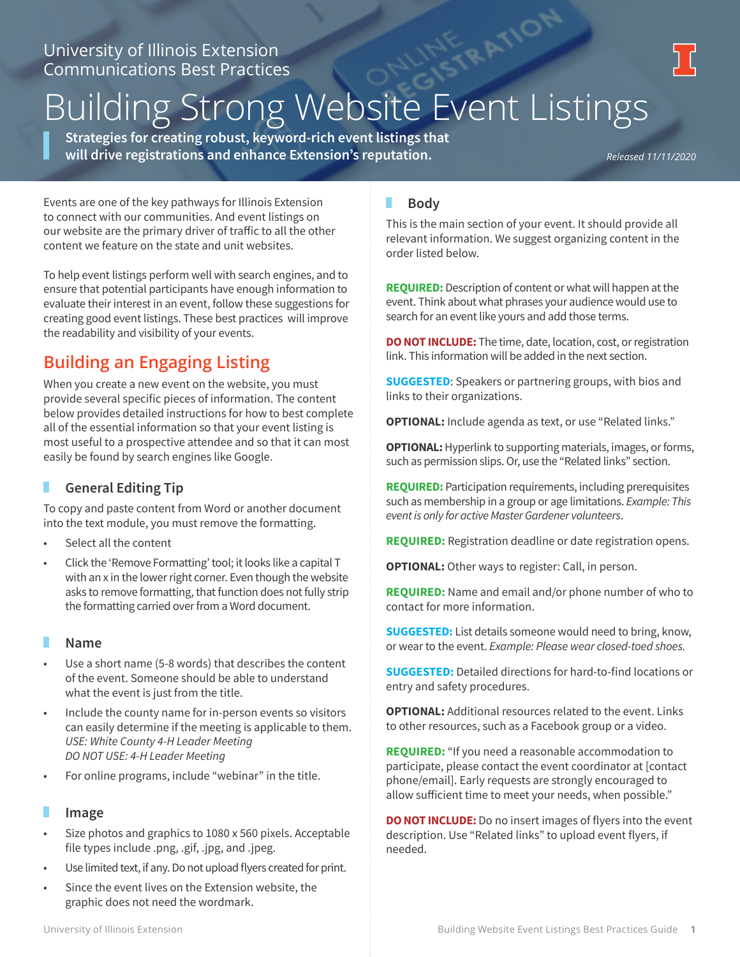# **Examples Extension**<br>Communications Best Practices<br>Building Strong Website Event Listings

**Strategies for creating robust, keyword-rich event listings that will drive registrations and enhance Extension's reputation.** 

*Released 11/11/2020*

Events are one of the key pathways for Illinois Extension to connect with our communities. And event listings on our website are the primary driver of traffic to all the other content we feature on the state and unit websites.

To help event listings perform well with search engines, and to ensure that potential participants have enough information to evaluate their interest in an event, follow these suggestions for creating good event listings. These best practices will improve the readability and visibility of your events.

# **Building an Engaging Listing**

When you create a new event on the website, you must provide several specific pieces of information. The content below provides detailed instructions for how to best complete all of the essential information so that your event listing is most useful to a prospective attendee and so that it can most easily be found by search engines like Google.

# **General Editing Tip**

To copy and paste content from Word or another document into the text module, you must remove the formatting.

- Select all the content
- Click the 'Remove Formatting' tool; it looks like a capital T with an x in the lower right corner. Even though the website asks to remove formatting, that function does not fully strip the formatting carried over from a Word document.

#### г **Name**

- Use a short name (5-8 words) that describes the content of the event. Someone should be able to understand what the event is just from the title.
- Include the county name for in-person events so visitors can easily determine if the meeting is applicable to them. *USE: White County 4-H Leader Meeting DO NOT USE: 4-H Leader Meeting*
- For online programs, include "webinar" in the title.

## **Image**

- Size photos and graphics to 1080 x 560 pixels. Acceptable file types include .png, .gif, .jpg, and .jpeg.
- Use limited text, if any. Do not upload flyers created for print.
- Since the event lives on the Extension website, the graphic does not need the wordmark.

#### П **Body**

This is the main section of your event. It should provide all relevant information. We suggest organizing content in the order listed below.

**REQUIRED:** Description of content or what will happen at the event. Think about what phrases your audience would use to search for an event like yours and add those terms.

**DO NOT INCLUDE:** The time, date, location, cost, or registration link. This information will be added in the next section.

**SUGGESTED**: Speakers or partnering groups, with bios and links to their organizations.

**OPTIONAL:** Include agenda as text, or use "Related links."

**OPTIONAL:** Hyperlink to supporting materials, images, or forms, such as permission slips. Or, use the "Related links" section.

**REQUIRED:** Participation requirements, including prerequisites such as membership in a group or age limitations. *Example: This event is only for active Master Gardener volunteers*.

**REQUIRED:** Registration deadline or date registration opens.

**OPTIONAL:** Other ways to register: Call, in person.

**REQUIRED:** Name and email and/or phone number of who to contact for more information.

**SUGGESTED:** List details someone would need to bring, know, or wear to the event. *Example: Please wear closed-toed shoes.*

**SUGGESTED:** Detailed directions for hard-to-find locations or entry and safety procedures.

**OPTIONAL:** Additional resources related to the event. Links to other resources, such as a Facebook group or a video.

**REQUIRED:** "If you need a reasonable accommodation to participate, please contact the event coordinator at [contact phone/email]. Early requests are strongly encouraged to allow sufficient time to meet your needs, when possible."

**DO NOT INCLUDE:** Do no insert images of flyers into the event description. Use "Related links" to upload event flyers, if needed.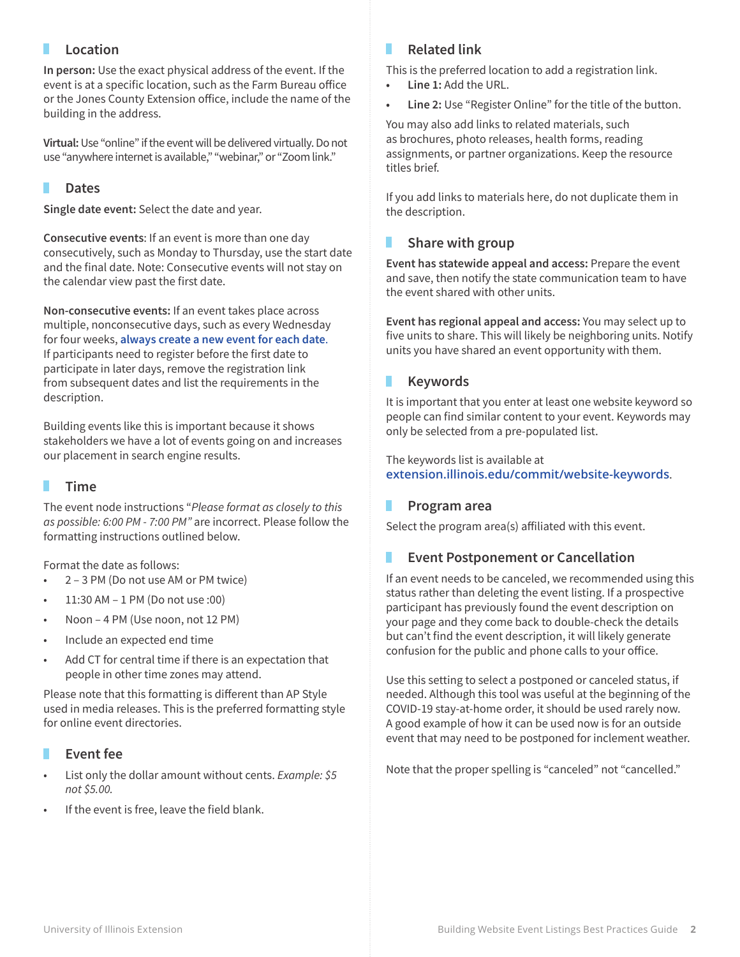# **Location**

**In person:** Use the exact physical address of the event. If the event is at a specific location, such as the Farm Bureau office or the Jones County Extension office, include the name of the building in the address.

**Virtual:** Use "online" if the event will be delivered virtually. Do not use "anywhere internet is available," "webinar," or "Zoom link."

# **Dates**

**Single date event:** Select the date and year.

**Consecutive events**: If an event is more than one day consecutively, such as Monday to Thursday, use the start date and the final date. Note: Consecutive events will not stay on the calendar view past the first date.

**Non-consecutive events:** If an event takes place across multiple, nonconsecutive days, such as every Wednesday for four weeks, **always create a new event for each date**. If participants need to register before the first date to participate in later days, remove the registration link from subsequent dates and list the requirements in the description.

Building events like this is important because it shows stakeholders we have a lot of events going on and increases our placement in search engine results.

## **Time**

The event node instructions "*Please format as closely to this as possible: 6:00 PM - 7:00 PM"* are incorrect. Please follow the formatting instructions outlined below.

Format the date as follows:

- 2 3 PM (Do not use AM or PM twice)
- 11:30 AM 1 PM (Do not use :00)
- Noon 4 PM (Use noon, not 12 PM)
- Include an expected end time
- Add CT for central time if there is an expectation that people in other time zones may attend.

Please note that this formatting is different than AP Style used in media releases. This is the preferred formatting style for online event directories.

## **Event fee**

- List only the dollar amount without cents. *Example: \$5 not \$5.00.*
- If the event is free, leave the field blank.

#### **Related link** ٠

This is the preferred location to add a registration link.

- **• Line 1:** Add the URL.
- **• Line 2:** Use "Register Online" for the title of the button.

You may also add links to related materials, such as brochures, photo releases, health forms, reading assignments, or partner organizations. Keep the resource titles brief.

If you add links to materials here, do not duplicate them in the description.

#### п **Share with group**

**Event has statewide appeal and access:** Prepare the event and save, then notify the state communication team to have the event shared with other units.

**Event has regional appeal and access:** You may select up to five units to share. This will likely be neighboring units. Notify units you have shared an event opportunity with them.

#### **Keywords** П

It is important that you enter at least one website keyword so people can find similar content to your event. Keywords may only be selected from a pre-populated list.

The keywords list is available at **[extension.illinois.edu/commit/website-keywords](https://extension.illinois.edu/commit/website-keywords)**.

## **Program area**

Select the program area(s) affiliated with this event.

## **Event Postponement or Cancellation**

If an event needs to be canceled, we recommended using this status rather than deleting the event listing. If a prospective participant has previously found the event description on your page and they come back to double-check the details but can't find the event description, it will likely generate confusion for the public and phone calls to your office.

Use this setting to select a postponed or canceled status, if needed. Although this tool was useful at the beginning of the COVID-19 stay-at-home order, it should be used rarely now. A good example of how it can be used now is for an outside event that may need to be postponed for inclement weather.

Note that the proper spelling is "canceled" not "cancelled."